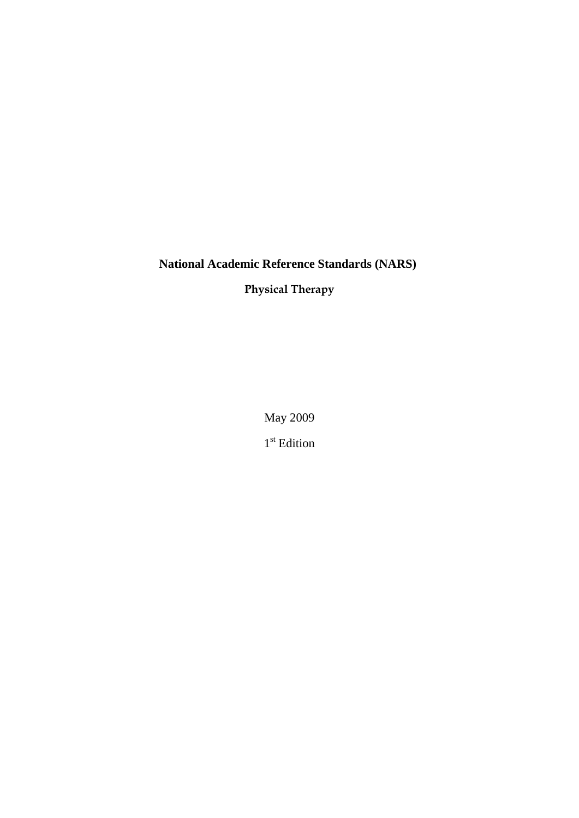# **National Academic Reference Standards (NARS)**

**Physical Therapy**

May 2009

1<sup>st</sup> Edition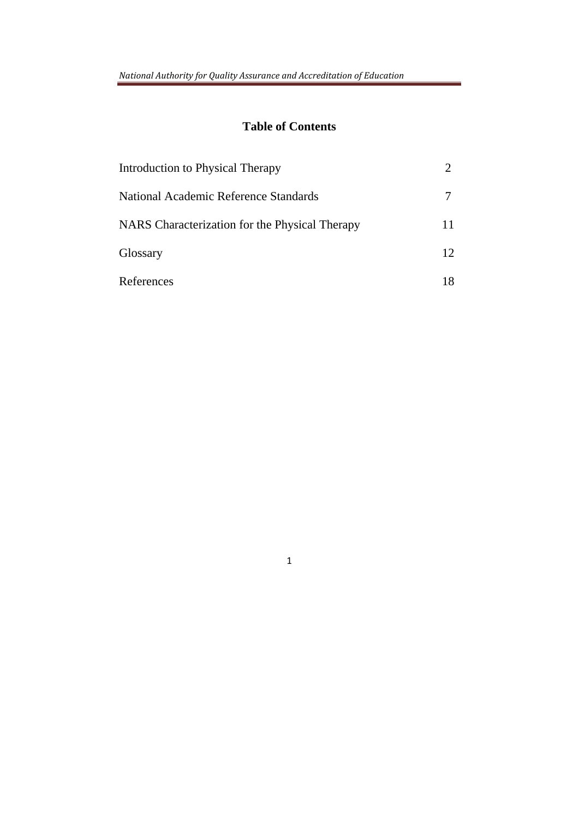# **Table of Contents**

| Introduction to Physical Therapy               |    |
|------------------------------------------------|----|
| National Academic Reference Standards          |    |
| NARS Characterization for the Physical Therapy | 11 |
| Glossary                                       | 12 |
| References                                     | 18 |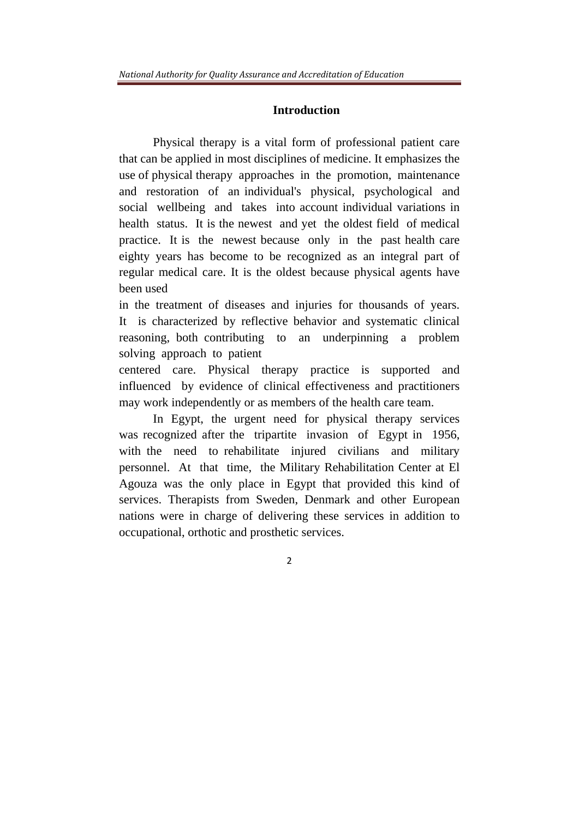#### **Introduction**

Physical therapy is a vital form of professional patient care that can be applied in most disciplines of medicine. It emphasizes the use of physical therapy approaches in the promotion, maintenance and restoration of an individual's physical, psychological and social wellbeing and takes into account individual variations in health status. It is the newest and yet the oldest field of medical practice. It is the newest because only in the past health care eighty years has become to be recognized as an integral part of regular medical care. It is the oldest because physical agents have been used

in the treatment of diseases and injuries for thousands of years. It is characterized by reflective behavior and systematic clinical reasoning, both contributing to an underpinning a problem solving approach to patient

centered care. Physical therapy practice is supported and influenced by evidence of clinical effectiveness and practitioners may work independently or as members of the health care team.

In Egypt, the urgent need for physical therapy services was recognized after the tripartite invasion of Egypt in 1956, with the need to rehabilitate injured civilians and military personnel. At that time, the Military Rehabilitation Center at El Agouza was the only place in Egypt that provided this kind of services. Therapists from Sweden, Denmark and other European nations were in charge of delivering these services in addition to occupational, orthotic and prosthetic services.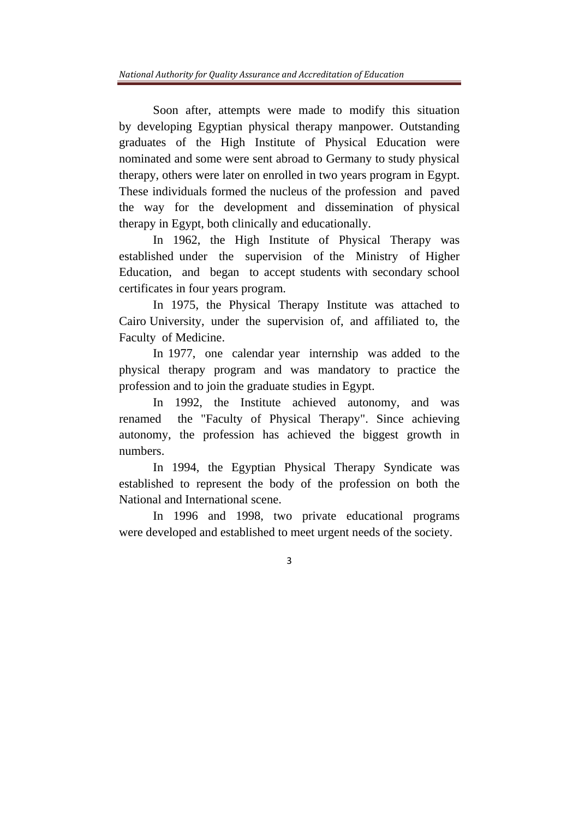Soon after, attempts were made to modify this situation by developing Egyptian physical therapy manpower. Outstanding graduates of the High Institute of Physical Education were nominated and some were sent abroad to Germany to study physical therapy, others were later on enrolled in two years program in Egypt. These individuals formed the nucleus of the profession and paved the way for the development and dissemination of physical therapy in Egypt, both clinically and educationally.

In 1962, the High Institute of Physical Therapy was established under the supervision of the Ministry of Higher Education, and began to accept students with secondary school certificates in four years program.

In 1975, the Physical Therapy Institute was attached to Cairo University, under the supervision of, and affiliated to, the Faculty of Medicine.

In 1977, one calendar year internship was added to the physical therapy program and was mandatory to practice the profession and to join the graduate studies in Egypt.

In 1992, the Institute achieved autonomy, and was renamed the "Faculty of Physical Therapy". Since achieving autonomy, the profession has achieved the biggest growth in numbers.

In 1994, the Egyptian Physical Therapy Syndicate was established to represent the body of the profession on both the National and International scene.

In 1996 and 1998, two private educational programs were developed and established to meet urgent needs of the society.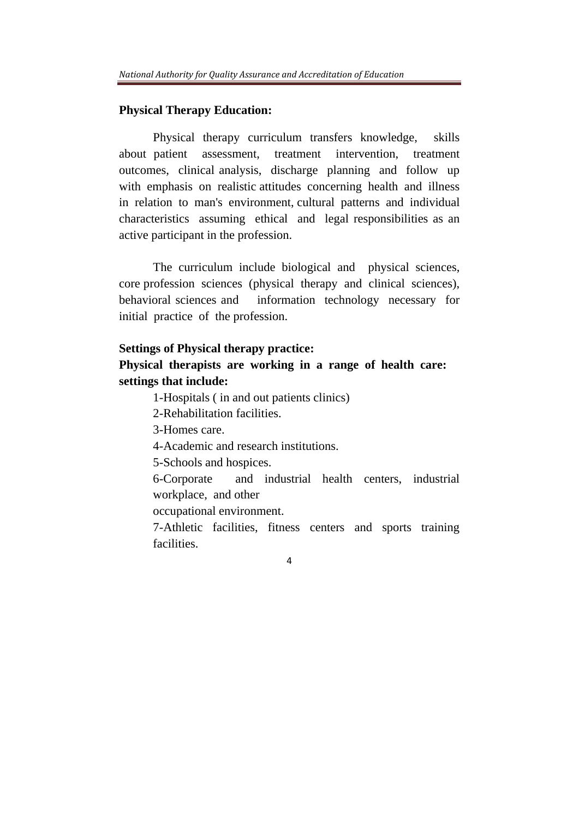#### **Physical Therapy Education:**

Physical therapy curriculum transfers knowledge, skills about patient assessment, treatment intervention, treatment outcomes, clinical analysis, discharge planning and follow up with emphasis on realistic attitudes concerning health and illness in relation to man's environment, cultural patterns and individual characteristics assuming ethical and legal responsibilities as an active participant in the profession.

The curriculum include biological and physical sciences, core profession sciences (physical therapy and clinical sciences), behavioral sciences and information technology necessary for initial practice of the profession.

#### **Settings of Physical therapy practice:**

# **Physical therapists are working in a range of health care: settings that include:**

1-Hospitals ( in and out patients clinics)

2-Rehabilitation facilities.

3-Homes care.

4-Academic and research institutions.

5-Schools and hospices.

6-Corporate and industrial health centers, industrial workplace, and other

occupational environment.

7-Athletic facilities, fitness centers and sports training facilities.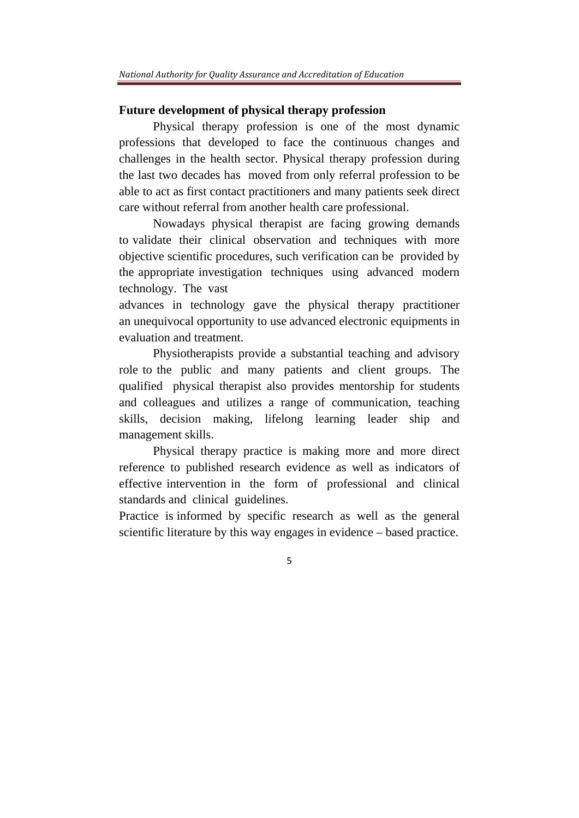## **Future development of physical therapy profession**

Physical therapy profession is one of the most dynamic professions that developed to face the continuous changes and challenges in the health sector. Physical therapy profession during the last two decades has moved from only referral profession to be able to act as first contact practitioners and many patients seek direct care without referral from another health care professional.

Nowadays physical therapist are facing growing demands to validate their clinical observation and techniques with more objective scientific procedures, such verification can be provided by the appropriate investigation techniques using advanced modern technology. The vast

advances in technology gave the physical therapy practitioner an unequivocal opportunity to use advanced electronic equipments in evaluation and treatment.

Physiotherapists provide a substantial teaching and advisory role to the public and many patients and client groups. The qualified physical therapist also provides mentorship for students and colleagues and utilizes a range of communication, teaching skills, decision making, lifelong learning leader ship and management skills.

Physical therapy practice is making more and more direct reference to published research evidence as well as indicators of effective intervention in the form of professional and clinical standards and clinical guidelines.

Practice is informed by specific research as well as the general scientific literature by this way engages in evidence – based practice.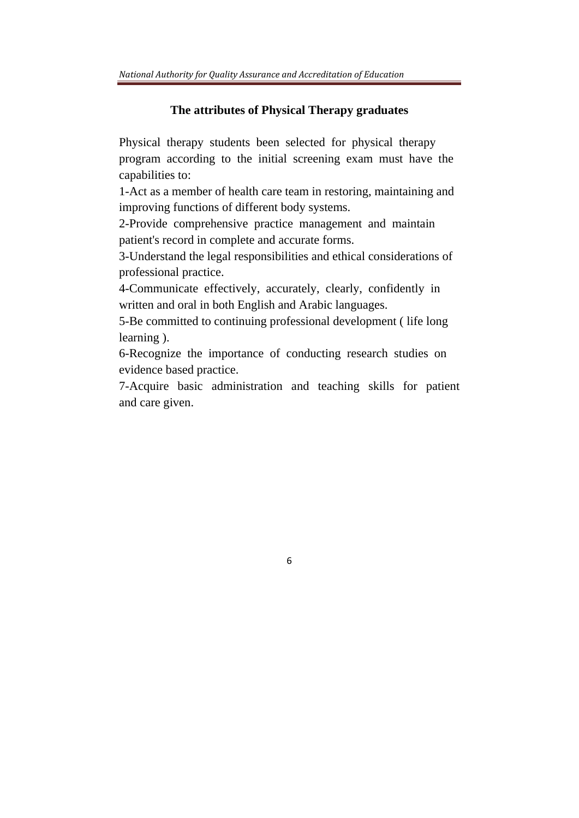#### **The attributes of Physical Therapy graduates**

Physical therapy students been selected for physical therapy program according to the initial screening exam must have the capabilities to:

1-Act as a member of health care team in restoring, maintaining and improving functions of different body systems.

2-Provide comprehensive practice management and maintain patient's record in complete and accurate forms.

3-Understand the legal responsibilities and ethical considerations of professional practice.

4-Communicate effectively, accurately, clearly, confidently in written and oral in both English and Arabic languages.

5-Be committed to continuing professional development ( life long learning ).

6-Recognize the importance of conducting research studies on evidence based practice.

7-Acquire basic administration and teaching skills for patient and care given.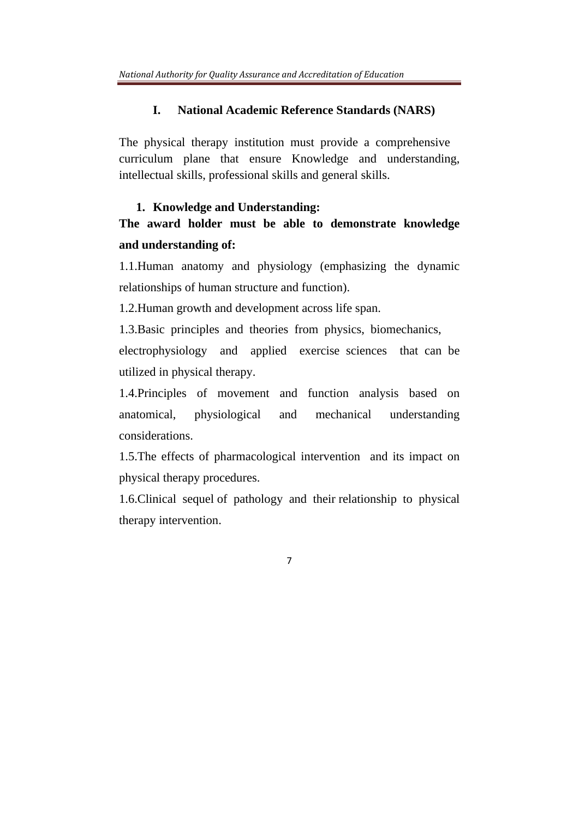## **I. National Academic Reference Standards (NARS)**

The physical therapy institution must provide a comprehensive curriculum plane that ensure Knowledge and understanding, intellectual skills, professional skills and general skills.

## **1. Knowledge and Understanding:**

# **The award holder must be able to demonstrate knowledge and understanding of:**

1.1.Human anatomy and physiology (emphasizing the dynamic relationships of human structure and function).

1.2.Human growth and development across life span.

1.3.Basic principles and theories from physics, biomechanics, electrophysiology and applied exercise sciences that can be utilized in physical therapy.

1.4.Principles of movement and function analysis based on anatomical, physiological and mechanical understanding considerations.

1.5.The effects of pharmacological intervention and its impact on physical therapy procedures.

1.6.Clinical sequel of pathology and their relationship to physical therapy intervention.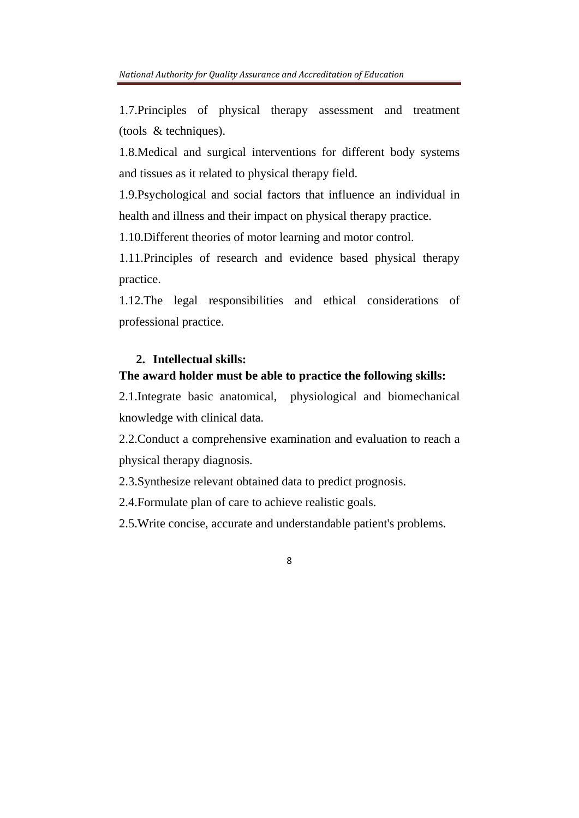1.7.Principles of physical therapy assessment and treatment (tools & techniques).

1.8.Medical and surgical interventions for different body systems and tissues as it related to physical therapy field.

1.9.Psychological and social factors that influence an individual in health and illness and their impact on physical therapy practice.

1.10.Different theories of motor learning and motor control.

1.11.Principles of research and evidence based physical therapy practice.

1.12.The legal responsibilities and ethical considerations of professional practice.

## **2. Intellectual skills:**

#### **The award holder must be able to practice the following skills:**

2.1.Integrate basic anatomical, physiological and biomechanical knowledge with clinical data.

2.2.Conduct a comprehensive examination and evaluation to reach a physical therapy diagnosis.

2.3.Synthesize relevant obtained data to predict prognosis.

2.4.Formulate plan of care to achieve realistic goals.

2.5.Write concise, accurate and understandable patient's problems.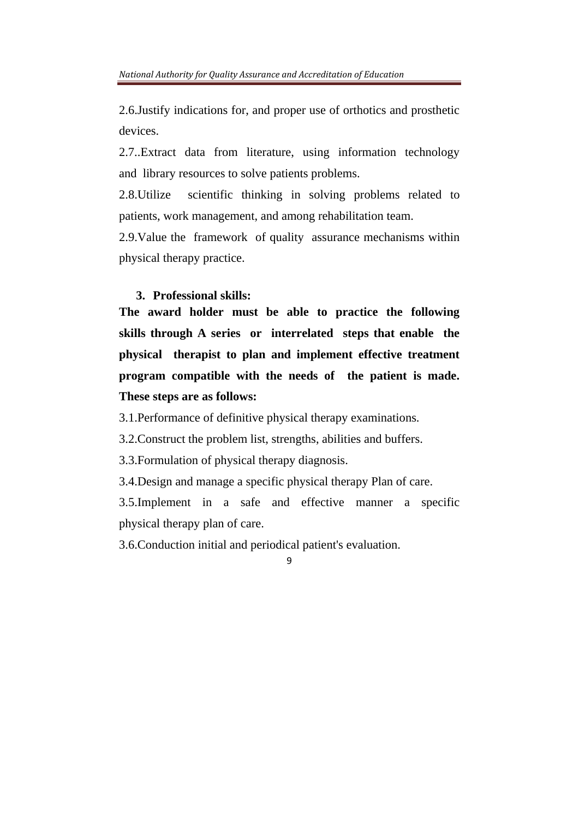2.6.Justify indications for, and proper use of orthotics and prosthetic devices.

2.7..Extract data from literature, using information technology and library resources to solve patients problems.

2.8.Utilize scientific thinking in solving problems related to patients, work management, and among rehabilitation team.

2.9.Value the framework of quality assurance mechanisms within physical therapy practice.

## **3. Professional skills:**

**The award holder must be able to practice the following skills through A series or interrelated steps that enable the physical therapist to plan and implement effective treatment program compatible with the needs of the patient is made. These steps are as follows:** 

3.1.Performance of definitive physical therapy examinations.

3.2.Construct the problem list, strengths, abilities and buffers.

3.3.Formulation of physical therapy diagnosis.

3.4.Design and manage a specific physical therapy Plan of care.

3.5.Implement in a safe and effective manner a specific physical therapy plan of care.

3.6.Conduction initial and periodical patient's evaluation.

<sup>9</sup>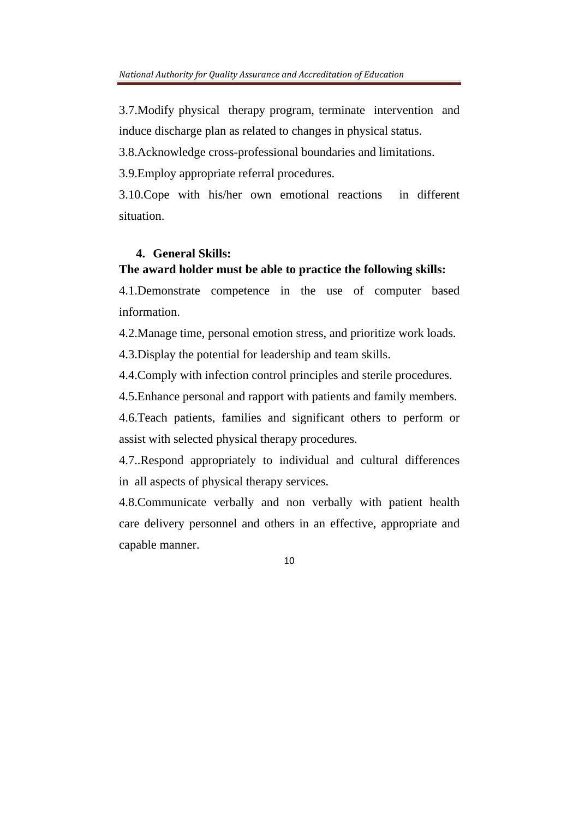3.7.Modify physical therapy program, terminate intervention and induce discharge plan as related to changes in physical status.

3.8.Acknowledge cross-professional boundaries and limitations.

3.9.Employ appropriate referral procedures.

3.10.Cope with his/her own emotional reactions in different situation.

## **4. General Skills:**

## **The award holder must be able to practice the following skills:**

4.1.Demonstrate competence in the use of computer based information.

4.2.Manage time, personal emotion stress, and prioritize work loads.

4.3.Display the potential for leadership and team skills.

4.4.Comply with infection control principles and sterile procedures.

4.5.Enhance personal and rapport with patients and family members.

4.6.Teach patients, families and significant others to perform or assist with selected physical therapy procedures.

4.7..Respond appropriately to individual and cultural differences in all aspects of physical therapy services.

4.8.Communicate verbally and non verbally with patient health care delivery personnel and others in an effective, appropriate and capable manner.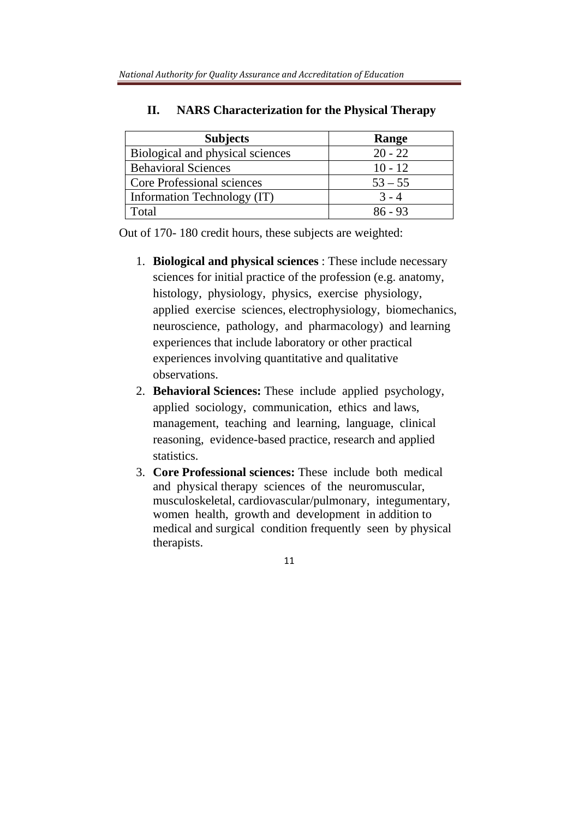| <b>Subjects</b>                  | Range     |
|----------------------------------|-----------|
| Biological and physical sciences | $20 - 22$ |
| <b>Behavioral Sciences</b>       | $10 - 12$ |
| Core Professional sciences       | $53 - 55$ |
| Information Technology (IT)      | $3 - 4$   |
| Total                            | $86 - 93$ |

## **II. NARS Characterization for the Physical Therapy**

Out of 170- 180 credit hours, these subjects are weighted:

- 1. **Biological and physical sciences** : These include necessary sciences for initial practice of the profession (e.g. anatomy, histology, physiology, physics, exercise physiology, applied exercise sciences, electrophysiology, biomechanics, neuroscience, pathology, and pharmacology) and learning experiences that include laboratory or other practical experiences involving quantitative and qualitative observations.
- 2. **Behavioral Sciences:** These include applied psychology, applied sociology, communication, ethics and laws, management, teaching and learning, language, clinical reasoning, evidence-based practice, research and applied statistics.
- 3. **Core Professional sciences:** These include both medical and physical therapy sciences of the neuromuscular, musculoskeletal, cardiovascular/pulmonary, integumentary, women health, growth and development in addition to medical and surgical condition frequently seen by physical therapists.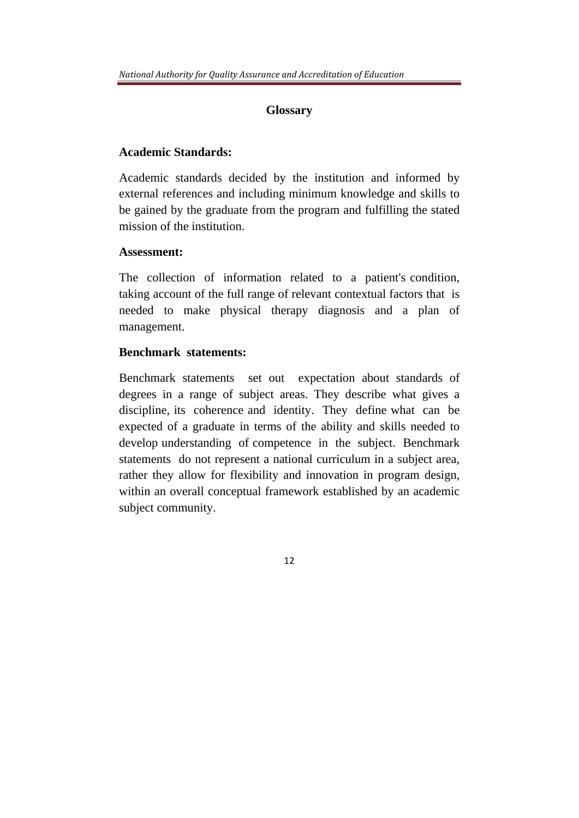## **Glossary**

## **Academic Standards:**

Academic standards decided by the institution and informed by external references and including minimum knowledge and skills to be gained by the graduate from the program and fulfilling the stated mission of the institution.

## **Assessment:**

The collection of information related to a patient's condition, taking account of the full range of relevant contextual factors that is needed to make physical therapy diagnosis and a plan of management.

## **Benchmark statements:**

Benchmark statements set out expectation about standards of degrees in a range of subject areas. They describe what gives a discipline, its coherence and identity. They define what can be expected of a graduate in terms of the ability and skills needed to develop understanding of competence in the subject. Benchmark statements do not represent a national curriculum in a subject area, rather they allow for flexibility and innovation in program design, within an overall conceptual framework established by an academic subject community.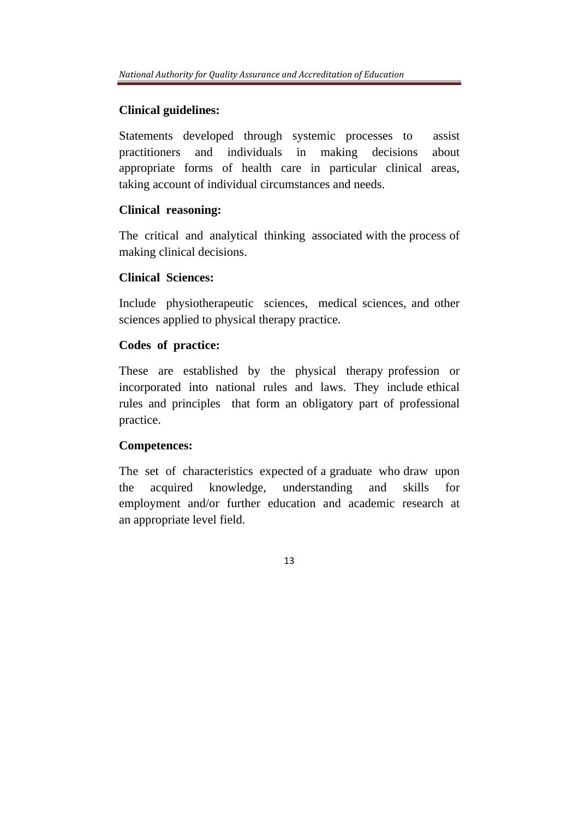# **Clinical guidelines:**

Statements developed through systemic processes to assist practitioners and individuals in making decisions about appropriate forms of health care in particular clinical areas, taking account of individual circumstances and needs.

## **Clinical reasoning:**

The critical and analytical thinking associated with the process of making clinical decisions.

## **Clinical Sciences:**

Include physiotherapeutic sciences, medical sciences, and other sciences applied to physical therapy practice.

## **Codes of practice:**

These are established by the physical therapy profession or incorporated into national rules and laws. They include ethical rules and principles that form an obligatory part of professional practice.

## **Competences:**

The set of characteristics expected of a graduate who draw upon the acquired knowledge, understanding and skills for employment and/or further education and academic research at an appropriate level field.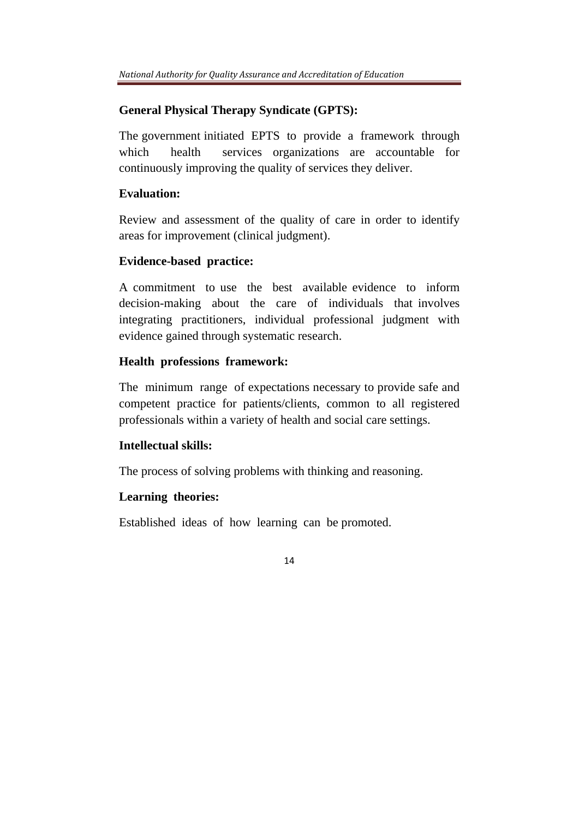## **General Physical Therapy Syndicate (GPTS):**

The government initiated EPTS to provide a framework through which health services organizations are accountable for continuously improving the quality of services they deliver.

#### **Evaluation:**

Review and assessment of the quality of care in order to identify areas for improvement (clinical judgment).

## **Evidence-based practice:**

A commitment to use the best available evidence to inform decision-making about the care of individuals that involves integrating practitioners, individual professional judgment with evidence gained through systematic research.

## **Health professions framework:**

The minimum range of expectations necessary to provide safe and competent practice for patients/clients, common to all registered professionals within a variety of health and social care settings.

## **Intellectual skills:**

The process of solving problems with thinking and reasoning.

## **Learning theories:**

Established ideas of how learning can be promoted.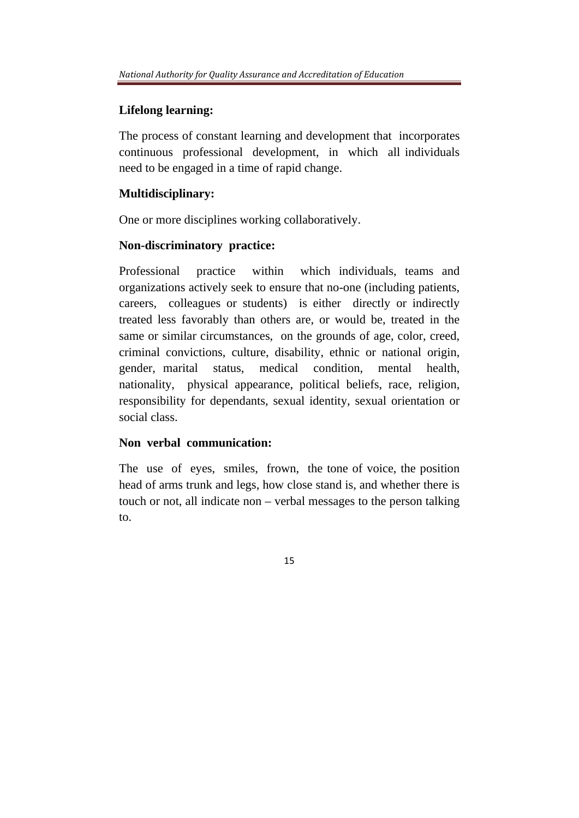## **Lifelong learning:**

The process of constant learning and development that incorporates continuous professional development, in which all individuals need to be engaged in a time of rapid change.

## **Multidisciplinary:**

One or more disciplines working collaboratively.

## **Non-discriminatory practice:**

Professional practice within which individuals, teams and organizations actively seek to ensure that no-one (including patients, careers, colleagues or students) is either directly or indirectly treated less favorably than others are, or would be, treated in the same or similar circumstances, on the grounds of age, color, creed, criminal convictions, culture, disability, ethnic or national origin, gender, marital status, medical condition, mental health, nationality, physical appearance, political beliefs, race, religion, responsibility for dependants, sexual identity, sexual orientation or social class.

## **Non verbal communication:**

The use of eyes, smiles, frown, the tone of voice, the position head of arms trunk and legs, how close stand is, and whether there is touch or not, all indicate non – verbal messages to the person talking to.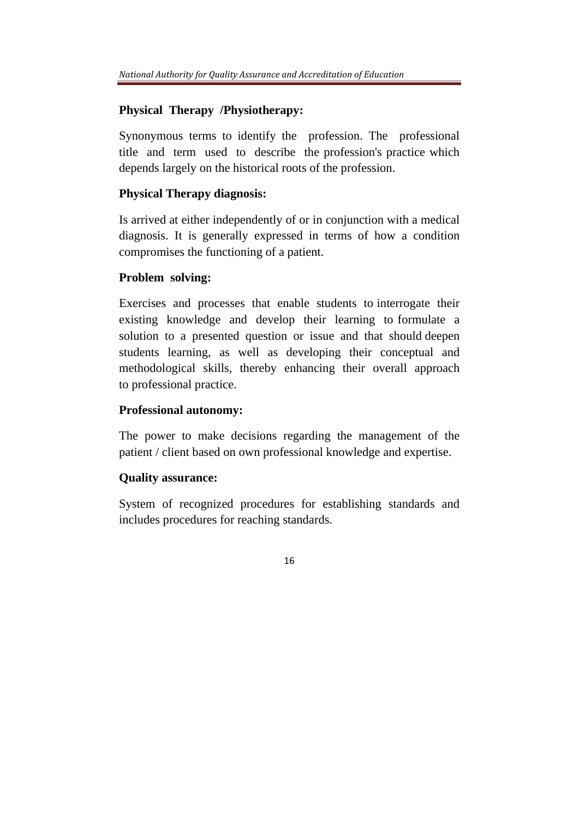## **Physical Therapy /Physiotherapy:**

Synonymous terms to identify the profession. The professional title and term used to describe the profession's practice which depends largely on the historical roots of the profession.

## **Physical Therapy diagnosis:**

Is arrived at either independently of or in conjunction with a medical diagnosis. It is generally expressed in terms of how a condition compromises the functioning of a patient.

#### **Problem solving:**

Exercises and processes that enable students to interrogate their existing knowledge and develop their learning to formulate a solution to a presented question or issue and that should deepen students learning, as well as developing their conceptual and methodological skills, thereby enhancing their overall approach to professional practice.

## **Professional autonomy:**

The power to make decisions regarding the management of the patient / client based on own professional knowledge and expertise.

## **Quality assurance:**

System of recognized procedures for establishing standards and includes procedures for reaching standards.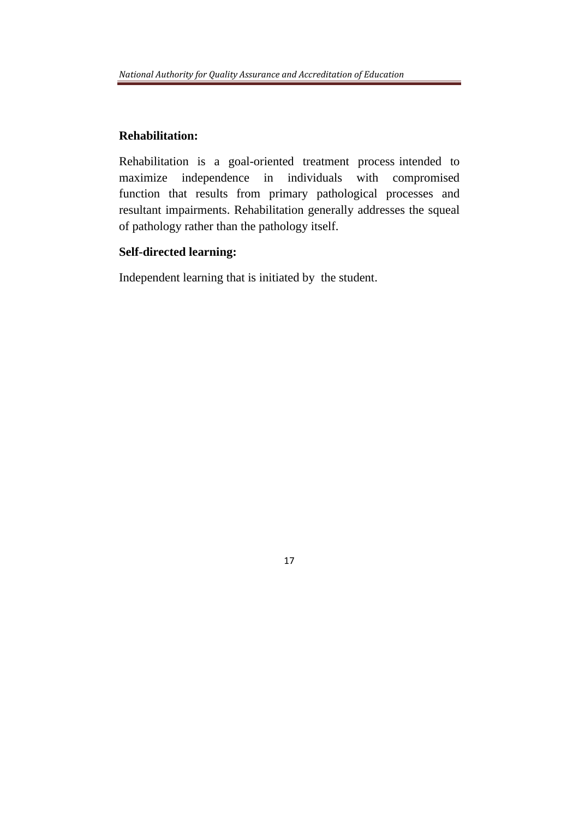# **Rehabilitation:**

Rehabilitation is a goal-oriented treatment process intended to maximize independence in individuals with compromised function that results from primary pathological processes and resultant impairments. Rehabilitation generally addresses the squeal of pathology rather than the pathology itself.

# **Self-directed learning:**

Independent learning that is initiated by the student.